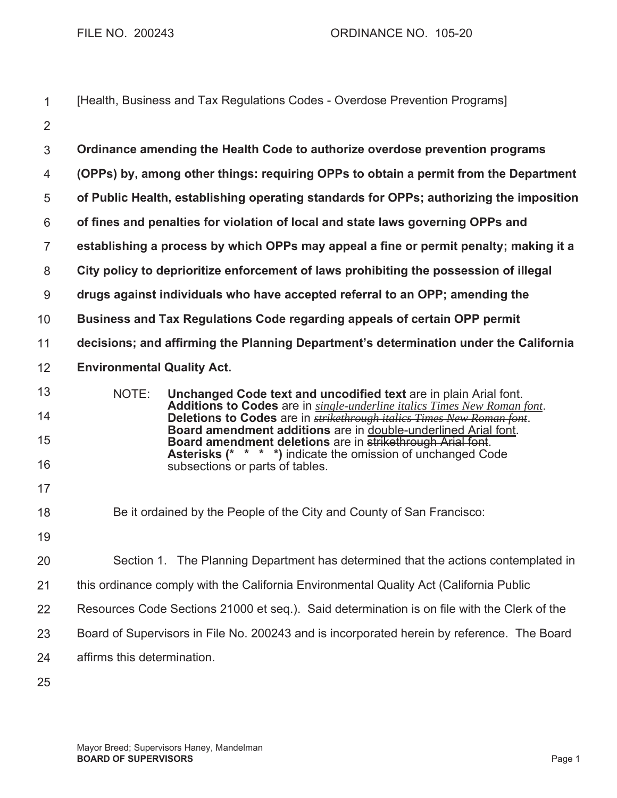| 1              |                                   | [Health, Business and Tax Regulations Codes - Overdose Prevention Programs]                                                                                                                        |
|----------------|-----------------------------------|----------------------------------------------------------------------------------------------------------------------------------------------------------------------------------------------------|
| $\overline{2}$ |                                   |                                                                                                                                                                                                    |
| $\mathfrak{S}$ |                                   | Ordinance amending the Health Code to authorize overdose prevention programs                                                                                                                       |
| 4              |                                   | (OPPs) by, among other things: requiring OPPs to obtain a permit from the Department                                                                                                               |
| 5              |                                   | of Public Health, establishing operating standards for OPPs; authorizing the imposition                                                                                                            |
| $6\,$          |                                   | of fines and penalties for violation of local and state laws governing OPPs and                                                                                                                    |
| $\overline{7}$ |                                   | establishing a process by which OPPs may appeal a fine or permit penalty; making it a                                                                                                              |
| 8              |                                   | City policy to deprioritize enforcement of laws prohibiting the possession of illegal                                                                                                              |
| 9              |                                   | drugs against individuals who have accepted referral to an OPP; amending the                                                                                                                       |
| 10             |                                   | Business and Tax Regulations Code regarding appeals of certain OPP permit                                                                                                                          |
| 11             |                                   | decisions; and affirming the Planning Department's determination under the California                                                                                                              |
| 12             | <b>Environmental Quality Act.</b> |                                                                                                                                                                                                    |
| 13             | NOTE:                             | Unchanged Code text and uncodified text are in plain Arial font.                                                                                                                                   |
| 14             |                                   | <b>Additions to Codes</b> are in single-underline italics Times New Roman font.<br>Deletions to Codes are in <b>strikethrough italics Times New Roman font</b> .                                   |
| 15             |                                   | Board amendment additions are in double-underlined Arial font.<br>Board amendment deletions are in strikethrough Arial font.<br><b>Asterisks (* * * *)</b> indicate the omission of unchanged Code |
| 16             |                                   | subsections or parts of tables.                                                                                                                                                                    |
| 17             |                                   |                                                                                                                                                                                                    |
| 18             |                                   | Be it ordained by the People of the City and County of San Francisco:                                                                                                                              |
| 19             |                                   |                                                                                                                                                                                                    |
| 20             |                                   | Section 1. The Planning Department has determined that the actions contemplated in                                                                                                                 |
| 21             |                                   | this ordinance comply with the California Environmental Quality Act (California Public                                                                                                             |
| 22             |                                   | Resources Code Sections 21000 et seq.). Said determination is on file with the Clerk of the                                                                                                        |
| 23             |                                   | Board of Supervisors in File No. 200243 and is incorporated herein by reference. The Board                                                                                                         |
| 24             | affirms this determination.       |                                                                                                                                                                                                    |
| 25             |                                   |                                                                                                                                                                                                    |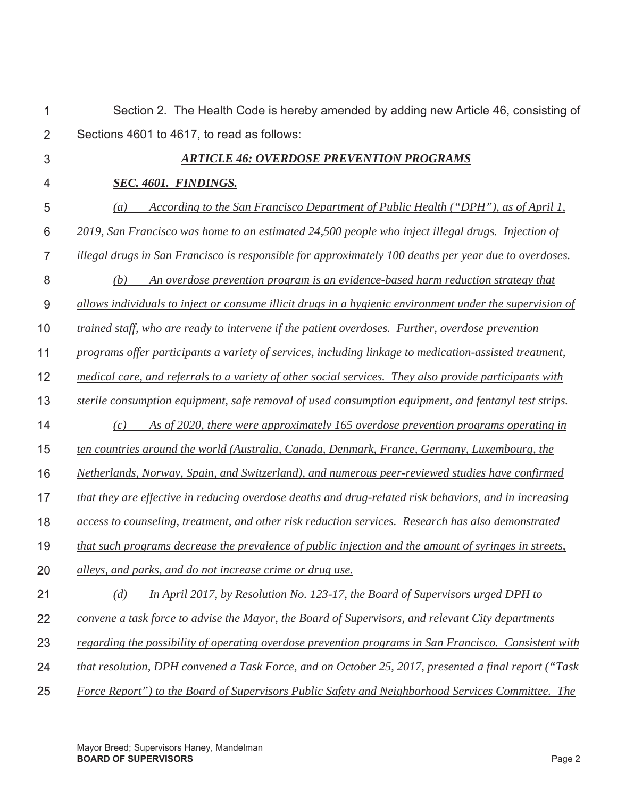| 1              | Section 2. The Health Code is hereby amended by adding new Article 46, consisting of                         |
|----------------|--------------------------------------------------------------------------------------------------------------|
| $\overline{2}$ | Sections 4601 to 4617, to read as follows:                                                                   |
| $\mathfrak{S}$ | <b>ARTICLE 46: OVERDOSE PREVENTION PROGRAMS</b>                                                              |
| 4              | SEC. 4601. FINDINGS.                                                                                         |
| 5              | According to the San Francisco Department of Public Health ("DPH"), as of April 1,<br>$\left( a\right)$      |
| 6              | 2019, San Francisco was home to an estimated 24,500 people who inject illegal drugs. Injection of            |
| $\overline{7}$ | <i>illegal drugs in San Francisco is responsible for approximately 100 deaths per year due to overdoses.</i> |
| 8              | An overdose prevention program is an evidence-based harm reduction strategy that<br>(b)                      |
| $9$            | allows individuals to inject or consume illicit drugs in a hygienic environment under the supervision of     |
| 10             | trained staff, who are ready to intervene if the patient overdoses. Further, overdose prevention             |
| 11             | programs offer participants a variety of services, including linkage to medication-assisted treatment,       |
| 12             | medical care, and referrals to a variety of other social services. They also provide participants with       |
| 13             | sterile consumption equipment, safe removal of used consumption equipment, and fentanyl test strips.         |
| 14             | As of 2020, there were approximately 165 overdose prevention programs operating in<br>(c)                    |
| 15             | ten countries around the world (Australia, Canada, Denmark, France, Germany, Luxembourg, the                 |
| 16             | Netherlands, Norway, Spain, and Switzerland), and numerous peer-reviewed studies have confirmed              |
| 17             | that they are effective in reducing overdose deaths and drug-related risk behaviors, and in increasing       |
| 18             | access to counseling, treatment, and other risk reduction services. Research has also demonstrated           |
| 19             | that such programs decrease the prevalence of public injection and the amount of syringes in streets,        |
| 20             | alleys, and parks, and do not increase crime or drug use.                                                    |
| 21             | In April 2017, by Resolution No. 123-17, the Board of Supervisors urged DPH to<br>(d)                        |
| 22             | convene a task force to advise the Mayor, the Board of Supervisors, and relevant City departments            |
| 23             | regarding the possibility of operating overdose prevention programs in San Francisco. Consistent with        |
| 24             | that resolution, DPH convened a Task Force, and on October 25, 2017, presented a final report ("Task         |
| 25             | Force Report") to the Board of Supervisors Public Safety and Neighborhood Services Committee. The            |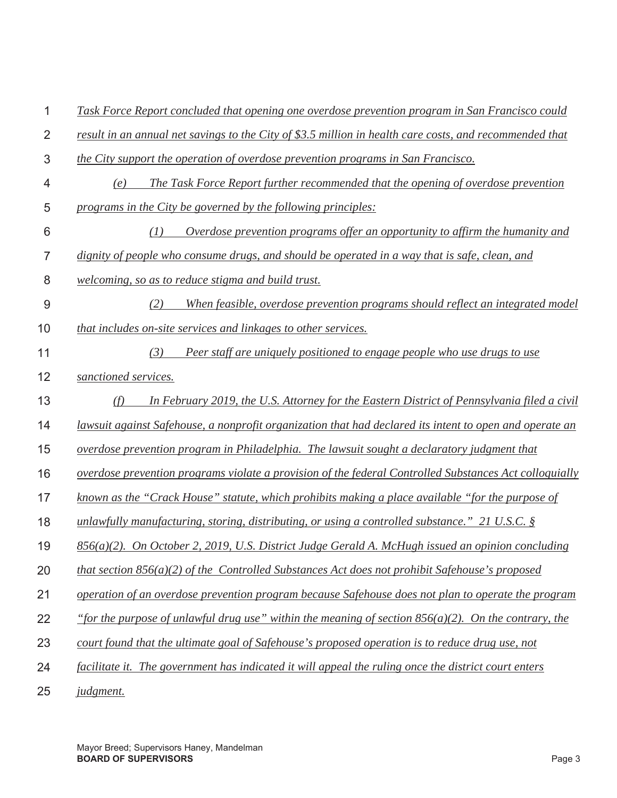| 1              | Task Force Report concluded that opening one overdose prevention program in San Francisco could         |
|----------------|---------------------------------------------------------------------------------------------------------|
| $\overline{2}$ | result in an annual net savings to the City of \$3.5 million in health care costs, and recommended that |
| 3              | the City support the operation of overdose prevention programs in San Francisco.                        |
| 4              | The Task Force Report further recommended that the opening of overdose prevention<br>(e)                |
| 5              | programs in the City be governed by the following principles:                                           |
| 6              | Overdose prevention programs offer an opportunity to affirm the humanity and<br>(1)                     |
| $\overline{7}$ | dignity of people who consume drugs, and should be operated in a way that is safe, clean, and           |
| 8              | welcoming, so as to reduce stigma and build trust.                                                      |
| 9              | (2)<br>When feasible, overdose prevention programs should reflect an integrated model                   |
| 10             | that includes on-site services and linkages to other services.                                          |
| 11             | (3)<br>Peer staff are uniquely positioned to engage people who use drugs to use                         |
| 12             | sanctioned services.                                                                                    |
| 13             | In February 2019, the U.S. Attorney for the Eastern District of Pennsylvania filed a civil<br>(f)       |
| 14             | lawsuit against Safehouse, a nonprofit organization that had declared its intent to open and operate an |
| 15             | overdose prevention program in Philadelphia. The lawsuit sought a declaratory judgment that             |
| 16             | overdose prevention programs violate a provision of the federal Controlled Substances Act colloquially  |
| 17             | <u>known as the "Crack House" statute, which prohibits making a place available "for the purpose of</u> |
| 18             | unlawfully manufacturing, storing, distributing, or using a controlled substance." 21 U.S.C. $\S$       |
| 19             | $856(a)(2)$ . On October 2, 2019, U.S. District Judge Gerald A. McHugh issued an opinion concluding     |
| 20             | that section $856(a)(2)$ of the Controlled Substances Act does not prohibit Safehouse's proposed        |
| 21             | operation of an overdose prevention program because Safehouse does not plan to operate the program      |
| 22             | "for the purpose of unlawful drug use" within the meaning of section $856(a)(2)$ . On the contrary, the |
| 23             | court found that the ultimate goal of Safehouse's proposed operation is to reduce drug use, not         |
| 24             | facilitate it. The government has indicated it will appeal the ruling once the district court enters    |
| 25             | <i>judgment.</i>                                                                                        |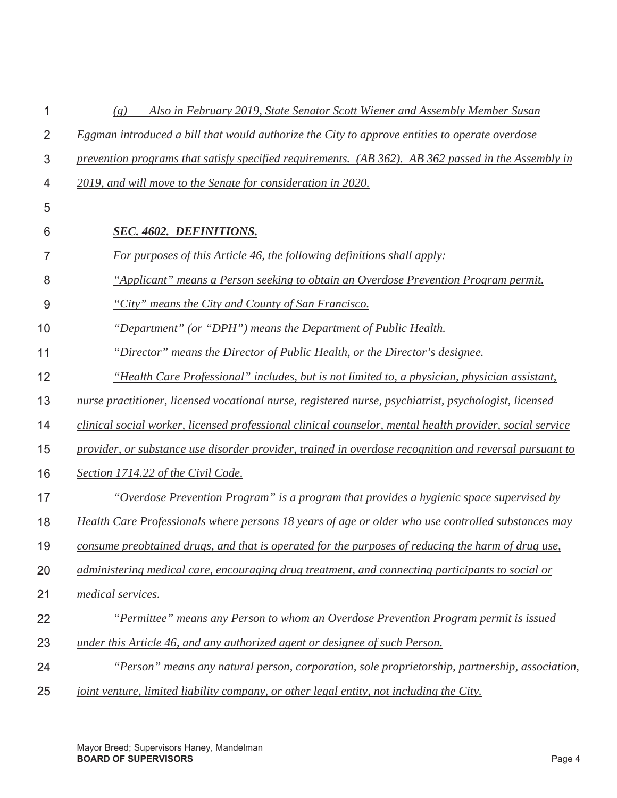| 1              | Also in February 2019, State Senator Scott Wiener and Assembly Member Susan<br>(g)                       |
|----------------|----------------------------------------------------------------------------------------------------------|
| $\overline{2}$ | Eggman introduced a bill that would authorize the City to approve entities to operate overdose           |
| 3              | prevention programs that satisfy specified requirements. (AB 362). AB 362 passed in the Assembly in      |
| 4              | 2019, and will move to the Senate for consideration in 2020.                                             |
| 5              |                                                                                                          |
| 6              | <b>SEC. 4602. DEFINITIONS.</b>                                                                           |
| 7              | For purposes of this Article 46, the following definitions shall apply:                                  |
| 8              | "Applicant" means a Person seeking to obtain an Overdose Prevention Program permit.                      |
| 9              | "City" means the City and County of San Francisco.                                                       |
| 10             | "Department" (or "DPH") means the Department of Public Health.                                           |
| 11             | "Director" means the Director of Public Health, or the Director's designee.                              |
| 12             | "Health Care Professional" includes, but is not limited to, a physician, physician assistant,            |
| 13             | nurse practitioner, licensed vocational nurse, registered nurse, psychiatrist, psychologist, licensed    |
| 14             | clinical social worker, licensed professional clinical counselor, mental health provider, social service |
| 15             | provider, or substance use disorder provider, trained in overdose recognition and reversal pursuant to   |
| 16             | Section 1714.22 of the Civil Code.                                                                       |
| 17             | <u>"Overdose Prevention Program" is a program that provides a hygienic space supervised by</u>           |
| 18             | Health Care Professionals where persons 18 years of age or older who use controlled substances may       |
| 19             | consume preobtained drugs, and that is operated for the purposes of reducing the harm of drug use,       |
| 20             | administering medical care, encouraging drug treatment, and connecting participants to social or         |
| 21             | medical services.                                                                                        |
| 22             | "Permittee" means any Person to whom an Overdose Prevention Program permit is issued                     |
| 23             | under this Article 46, and any authorized agent or designee of such Person.                              |
| 24             | "Person" means any natural person, corporation, sole proprietorship, partnership, association,           |
| 25             | joint venture, limited liability company, or other legal entity, not including the City.                 |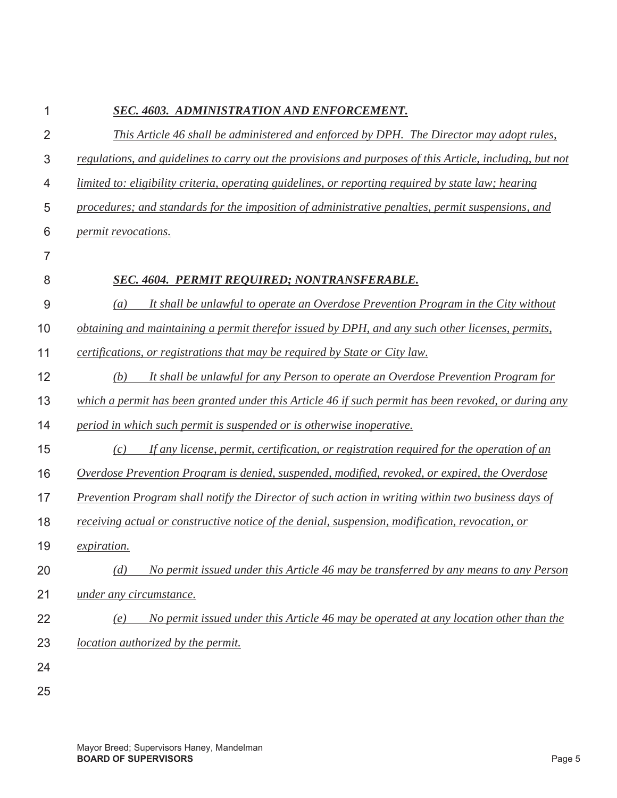| 1              | SEC. 4603. ADMINISTRATION AND ENFORCEMENT.                                                               |  |  |
|----------------|----------------------------------------------------------------------------------------------------------|--|--|
| $\overline{2}$ | This Article 46 shall be administered and enforced by DPH. The Director may adopt rules,                 |  |  |
| 3              | regulations, and guidelines to carry out the provisions and purposes of this Article, including, but not |  |  |
| 4              | limited to: eligibility criteria, operating guidelines, or reporting required by state law; hearing      |  |  |
| 5              | procedures; and standards for the imposition of administrative penalties, permit suspensions, and        |  |  |
| 6              | permit revocations.                                                                                      |  |  |
| $\overline{7}$ |                                                                                                          |  |  |
| 8              | SEC. 4604. PERMIT REQUIRED; NONTRANSFERABLE.                                                             |  |  |
| 9              | It shall be unlawful to operate an Overdose Prevention Program in the City without<br>$\left(a\right)$   |  |  |
| 10             | obtaining and maintaining a permit therefor issued by DPH, and any such other licenses, permits,         |  |  |
| 11             | certifications, or registrations that may be required by State or City law.                              |  |  |
| 12             | It shall be unlawful for any Person to operate an Overdose Prevention Program for<br>(b)                 |  |  |
| 13             | which a permit has been granted under this Article 46 if such permit has been revoked, or during any     |  |  |
| 14             | period in which such permit is suspended or is otherwise inoperative.                                    |  |  |
| 15             | If any license, permit, certification, or registration required for the operation of an<br>(c)           |  |  |
| 16             | Overdose Prevention Program is denied, suspended, modified, revoked, or expired, the Overdose            |  |  |
| 17             | Prevention Program shall notify the Director of such action in writing within two business days of       |  |  |
| 18             | receiving actual or constructive notice of the denial, suspension, modification, revocation, or          |  |  |
| 19             | <i>expiration.</i>                                                                                       |  |  |
| 20             | No permit issued under this Article 46 may be transferred by any means to any Person<br>(d)              |  |  |
| 21             | under any circumstance.                                                                                  |  |  |
| 22             | No permit issued under this Article 46 may be operated at any location other than the<br>(e)             |  |  |
| 23             | <i>location authorized by the permit.</i>                                                                |  |  |
| 24             |                                                                                                          |  |  |
| 25             |                                                                                                          |  |  |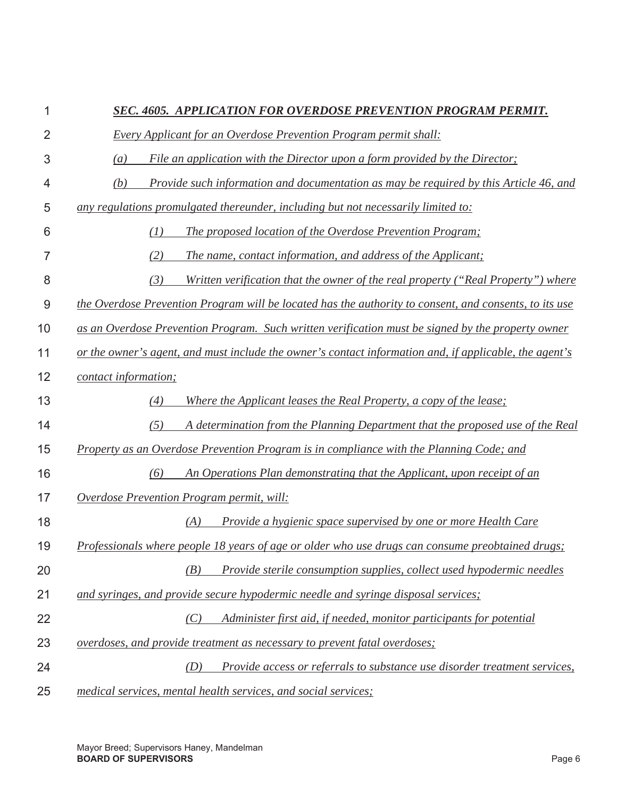## 1 *SEC. 4605. APPLICATION FOR OVERDOSE PREVENTION PROGRAM PERMIT.*

- $\mathfrak{p}$ *Every Applicant for an Overdose Prevention Program permit shall:*
- 3 *(a) File an application with the Director upon a form provided by the Director;*
- 4 *(b) Provide such information and documentation as may be required by this Article 46, and*
- 5 *any regulations promulgated thereunder, including but not necessarily limited to:*
- 6 7 8 9 10 11 12 13 14  *(1) The proposed location of the Overdose Prevention Program; (2) The name, contact information, and address of the Applicant; (3) Written verification that the owner of the real property ("Real Property") where the Overdose Prevention Program will be located has the authority to consent, and consents, to its use as an Overdose Prevention Program. Such written verification must be signed by the property owner or the owner's agent, and must include the owner's contact information and, if applicable, the agent's contact information; (4) Where the Applicant leases the Real Property, a copy of the lease; (5) A determination from the Planning Department that the proposed use of the Real*
- 15 *Property as an Overdose Prevention Program is in compliance with the Planning Code; and*
- 16  *(6) An Operations Plan demonstrating that the Applicant, upon receipt of an*
- 17 *Overdose Prevention Program permit, will:*

22

- 18  *(A) Provide a hygienic space supervised by one or more Health Care*
- 19 *Professionals where people 18 years of age or older who use drugs can consume preobtained drugs;*
- 20  *(B) Provide sterile consumption supplies, collect used hypodermic needles*
- 21 *and syringes, and provide secure hypodermic needle and syringe disposal services;* 
	- *(C) Administer first aid, if needed, monitor participants for potential*
- 23 *overdoses, and provide treatment as necessary to prevent fatal overdoses;*
- 24 25  *(D) Provide access or referrals to substance use disorder treatment services, medical services, mental health services, and social services;*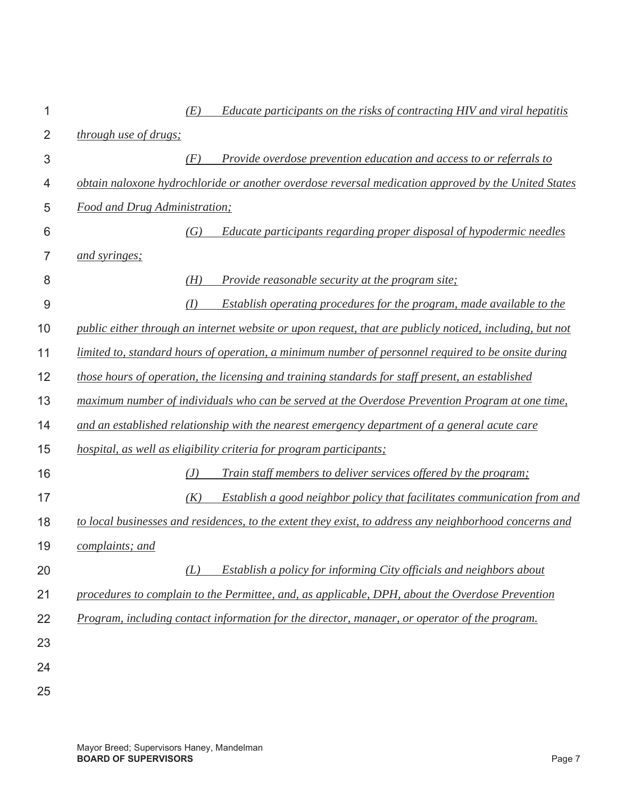| 1              |                                      | (E) | Educate participants on the risks of contracting HIV and viral hepatitis                                 |
|----------------|--------------------------------------|-----|----------------------------------------------------------------------------------------------------------|
| $\overline{2}$ | through use of drugs;                |     |                                                                                                          |
| 3              |                                      | (F) | Provide overdose prevention education and access to or referrals to                                      |
| 4              |                                      |     | obtain naloxone hydrochloride or another overdose reversal medication approved by the United States      |
| 5              | <b>Food and Drug Administration;</b> |     |                                                                                                          |
| 6              |                                      | (G) | Educate participants regarding proper disposal of hypodermic needles                                     |
| 7              | and syringes;                        |     |                                                                                                          |
| 8              |                                      | (H) | <i>Provide reasonable security at the program site:</i>                                                  |
| $\overline{9}$ |                                      | (I) | Establish operating procedures for the program, made available to the                                    |
| 10             |                                      |     | public either through an internet website or upon request, that are publicly noticed, including, but not |
| 11             |                                      |     | limited to, standard hours of operation, a minimum number of personnel required to be onsite during      |
| 12             |                                      |     | those hours of operation, the licensing and training standards for staff present, an established         |
| 13             |                                      |     | maximum number of individuals who can be served at the Overdose Prevention Program at one time,          |
| 14             |                                      |     | and an established relationship with the nearest emergency department of a general acute care            |
| 15             |                                      |     | hospital, as well as eligibility criteria for program participants;                                      |
| 16             |                                      | (J) | Train staff members to deliver services offered by the program;                                          |
| 17             |                                      | (K) | Establish a good neighbor policy that facilitates communication from and                                 |
| 18             |                                      |     | to local businesses and residences, to the extent they exist, to address any neighborhood concerns and   |
| 19             | complaints; and                      |     |                                                                                                          |
| 20             |                                      | (L) | Establish a policy for informing City officials and neighbors about                                      |
| 21             |                                      |     | procedures to complain to the Permittee, and, as applicable, DPH, about the Overdose Prevention          |
| 22             |                                      |     | Program, including contact information for the director, manager, or operator of the program.            |
| 23             |                                      |     |                                                                                                          |
| 24             |                                      |     |                                                                                                          |
| 25             |                                      |     |                                                                                                          |
|                |                                      |     |                                                                                                          |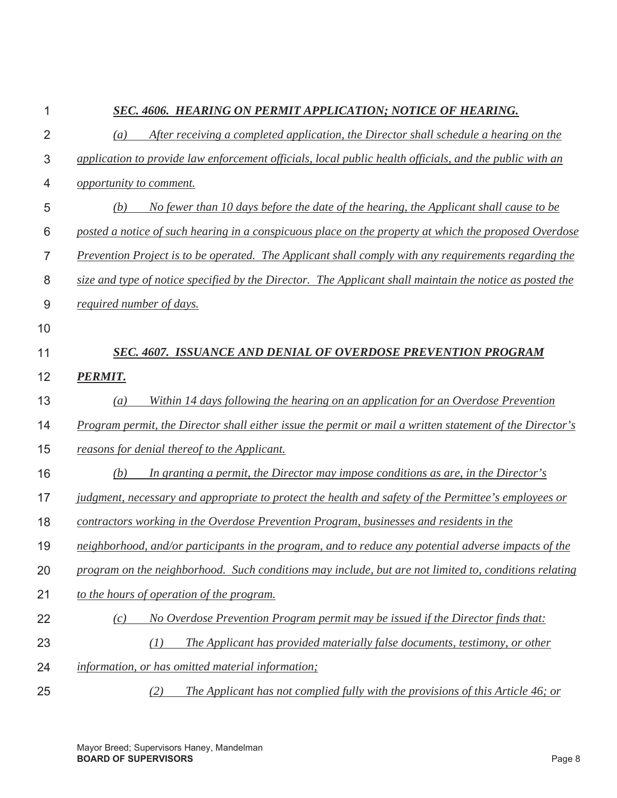| 1              | SEC. 4606. HEARING ON PERMIT APPLICATION; NOTICE OF HEARING.                                               |
|----------------|------------------------------------------------------------------------------------------------------------|
| $\overline{2}$ | After receiving a completed application, the Director shall schedule a hearing on the<br>$\left( a\right)$ |
| 3              | application to provide law enforcement officials, local public health officials, and the public with an    |
| 4              | opportunity to comment.                                                                                    |
| 5              | No fewer than 10 days before the date of the hearing, the Applicant shall cause to be<br>(b)               |
| 6              | posted a notice of such hearing in a conspicuous place on the property at which the proposed Overdose      |
| $\overline{7}$ | Prevention Project is to be operated. The Applicant shall comply with any requirements regarding the       |
| 8              | size and type of notice specified by the Director. The Applicant shall maintain the notice as posted the   |
| 9              | required number of days.                                                                                   |
| 10             |                                                                                                            |
| 11             | <b>SEC. 4607. ISSUANCE AND DENIAL OF OVERDOSE PREVENTION PROGRAM</b>                                       |
| 12             | <b>PERMIT.</b>                                                                                             |
| 13             | Within 14 days following the hearing on an application for an Overdose Prevention<br>(a)                   |
| 14             | Program permit, the Director shall either issue the permit or mail a written statement of the Director's   |
| 15             | reasons for denial thereof to the Applicant.                                                               |
| 16             | In granting a permit, the Director may impose conditions as are, in the Director's<br>(b)                  |
| 17             | judgment, necessary and appropriate to protect the health and safety of the Permittee's employees or       |
| 18             | contractors working in the Overdose Prevention Program, businesses and residents in the                    |
| 19             | neighborhood, and/or participants in the program, and to reduce any potential adverse impacts of the       |
| 20             | program on the neighborhood. Such conditions may include, but are not limited to, conditions relating      |
| 21             | to the hours of operation of the program.                                                                  |
| 22             | No Overdose Prevention Program permit may be issued if the Director finds that:<br>(c)                     |
| 23             | The Applicant has provided materially false documents, testimony, or other<br>(1)                          |
| 24             | information, or has omitted material information;                                                          |
| 25             | The Applicant has not complied fully with the provisions of this Article 46; or<br>(2)                     |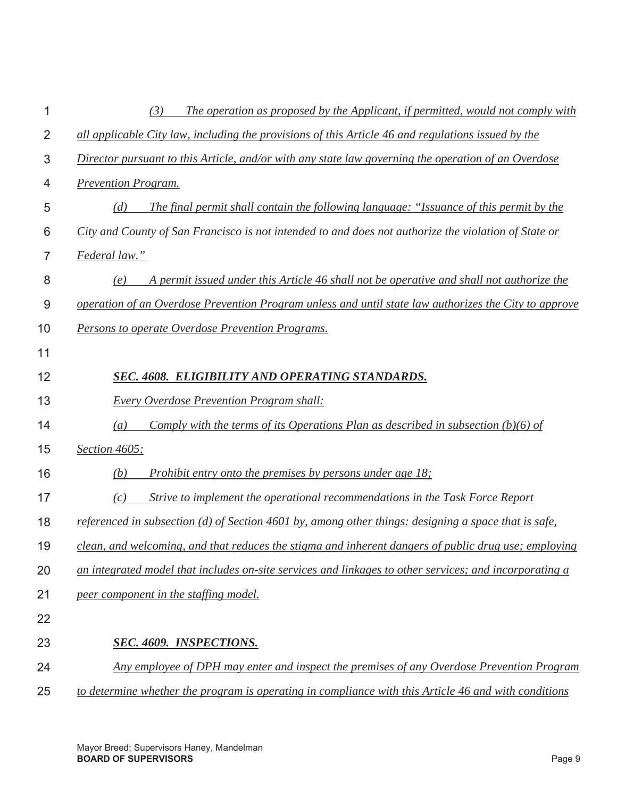|    | The operation as proposed by the Applicant, if permitted, would not comply with<br>(3)                   |
|----|----------------------------------------------------------------------------------------------------------|
| 2  | all applicable City law, including the provisions of this Article 46 and regulations issued by the       |
| 3  | Director pursuant to this Article, and/or with any state law governing the operation of an Overdose      |
| 4  | <b>Prevention Program.</b>                                                                               |
| 5  | The final permit shall contain the following language: "Issuance of this permit by the<br>(d)            |
| 6  | City and County of San Francisco is not intended to and does not authorize the violation of State or     |
| 7  | Federal law."                                                                                            |
| 8  | A permit issued under this Article 46 shall not be operative and shall not authorize the<br>(e)          |
| 9  | operation of an Overdose Prevention Program unless and until state law authorizes the City to approve    |
| 10 | Persons to operate Overdose Prevention Programs.                                                         |
| 11 |                                                                                                          |
| 12 | SEC. 4608. ELIGIBILITY AND OPERATING STANDARDS.                                                          |
| 13 | <b>Every Overdose Prevention Program shall:</b>                                                          |
| 14 | Comply with the terms of its Operations Plan as described in subsection $(b)(6)$ of<br>$\left( a\right)$ |
| 15 | Section 4605;                                                                                            |
| 16 | Prohibit entry onto the premises by persons under age 18;<br>(b)                                         |
| 17 | Strive to implement the operational recommendations in the Task Force Report<br>(c)                      |
| 18 | referenced in subsection (d) of Section 4601 by, among other things: designing a space that is safe,     |
| 19 | clean, and welcoming, and that reduces the stigma and inherent dangers of public drug use; employing     |
| 20 | an integrated model that includes on-site services and linkages to other services; and incorporating a   |
| 21 | peer component in the staffing model.                                                                    |
| 22 |                                                                                                          |
| 23 | <b>SEC. 4609. INSPECTIONS.</b>                                                                           |
| 24 | Any employee of DPH may enter and inspect the premises of any Overdose Prevention Program                |
| 25 | to determine whether the program is operating in compliance with this Article 46 and with conditions     |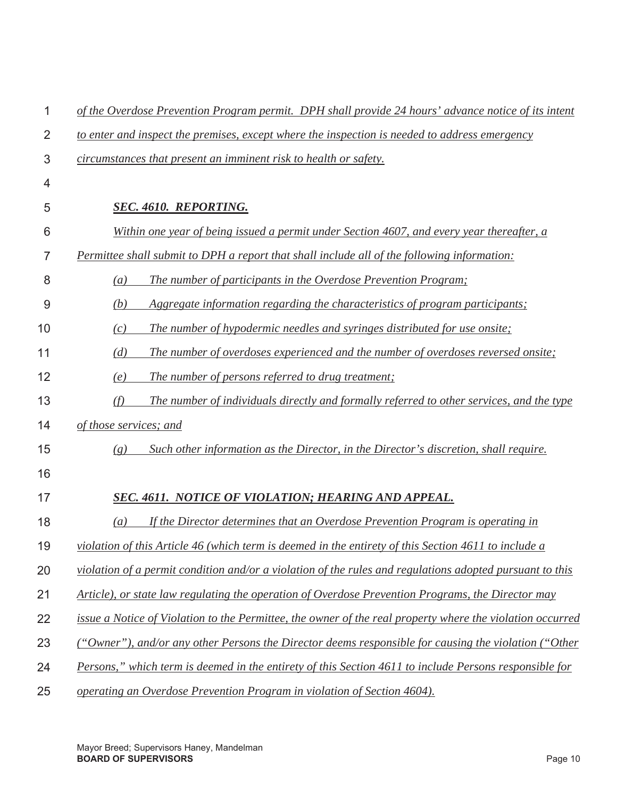| 1              | of the Overdose Prevention Program permit. DPH shall provide 24 hours' advance notice of its intent       |
|----------------|-----------------------------------------------------------------------------------------------------------|
| $\overline{2}$ | to enter and inspect the premises, except where the inspection is needed to address emergency             |
| 3              | circumstances that present an imminent risk to health or safety.                                          |
| 4              |                                                                                                           |
| 5              | <b>SEC. 4610. REPORTING.</b>                                                                              |
| 6              | Within one year of being issued a permit under Section 4607, and every year thereafter, a                 |
| 7              | Permittee shall submit to DPH a report that shall include all of the following information:               |
| 8              | The number of participants in the Overdose Prevention Program;<br>(a)                                     |
| 9              | (b)<br>Aggregate information regarding the characteristics of program participants;                       |
| 10             | The number of hypodermic needles and syringes distributed for use onsite;<br>(c)                          |
| 11             | (d)<br>The number of overdoses experienced and the number of overdoses reversed onsite;                   |
| 12             | The number of persons referred to drug treatment;<br>(e)                                                  |
| 13             | (f)<br>The number of individuals directly and formally referred to other services, and the type           |
| 14             | of those services; and                                                                                    |
| 15             | Such other information as the Director, in the Director's discretion, shall require.<br>(g)               |
| 16             |                                                                                                           |
| 17             | SEC. 4611. NOTICE OF VIOLATION; HEARING AND APPEAL.                                                       |
| 18             | If the Director determines that an Overdose Prevention Program is operating in<br>$\left(a\right)$        |
| 19             | violation of this Article 46 (which term is deemed in the entirety of this Section 4611 to include a      |
| 20             | violation of a permit condition and/or a violation of the rules and regulations adopted pursuant to this  |
| 21             | Article), or state law regulating the operation of Overdose Prevention Programs, the Director may         |
| 22             | issue a Notice of Violation to the Permittee, the owner of the real property where the violation occurred |
| 23             | ("Owner"), and/or any other Persons the Director deems responsible for causing the violation ("Other")    |
| 24             | Persons," which term is deemed in the entirety of this Section 4611 to include Persons responsible for    |
| 25             | operating an Overdose Prevention Program in violation of Section 4604).                                   |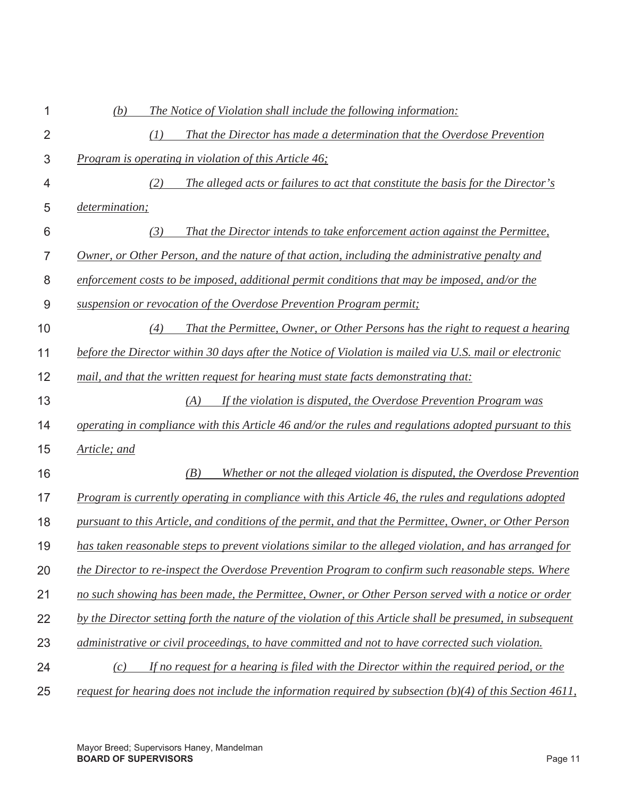| 1              | (b)<br>The Notice of Violation shall include the following information:                                     |
|----------------|-------------------------------------------------------------------------------------------------------------|
| $\overline{2}$ | That the Director has made a determination that the Overdose Prevention<br>(1)                              |
| 3              | Program is operating in violation of this Article 46;                                                       |
| 4              | The alleged acts or failures to act that constitute the basis for the Director's<br>(2)                     |
| 5              | <i>determination;</i>                                                                                       |
| 6              | That the Director intends to take enforcement action against the Permittee,<br>(3)                          |
| 7              | Owner, or Other Person, and the nature of that action, including the administrative penalty and             |
| 8              | enforcement costs to be imposed, additional permit conditions that may be imposed, and/or the               |
| 9              | suspension or revocation of the Overdose Prevention Program permit;                                         |
| 10             | That the Permittee, Owner, or Other Persons has the right to request a hearing<br>(4)                       |
| 11             | before the Director within 30 days after the Notice of Violation is mailed via U.S. mail or electronic      |
| 12             | mail, and that the written request for hearing must state facts demonstrating that:                         |
| 13             | If the violation is disputed, the Overdose Prevention Program was<br>(A)                                    |
| 14             | operating in compliance with this Article 46 and/or the rules and regulations adopted pursuant to this      |
| 15             | Article; and                                                                                                |
| 16             | Whether or not the alleged violation is disputed, the Overdose Prevention<br>(B)                            |
| 17             | <u>Program is currently operating in compliance with this Article 46, the rules and regulations adopted</u> |
| 18             | pursuant to this Article, and conditions of the permit, and that the Permittee, Owner, or Other Person      |
| 19             | has taken reasonable steps to prevent violations similar to the alleged violation, and has arranged for     |
| 20             | the Director to re-inspect the Overdose Prevention Program to confirm such reasonable steps. Where          |
| 21             | no such showing has been made, the Permittee, Owner, or Other Person served with a notice or order          |
| 22             | by the Director setting forth the nature of the violation of this Article shall be presumed, in subsequent  |
| 23             | administrative or civil proceedings, to have committed and not to have corrected such violation.            |
| 24             | If no request for a hearing is filed with the Director within the required period, or the<br>(c)            |
| 25             | request for hearing does not include the information required by subsection $(b)(4)$ of this Section 4611,  |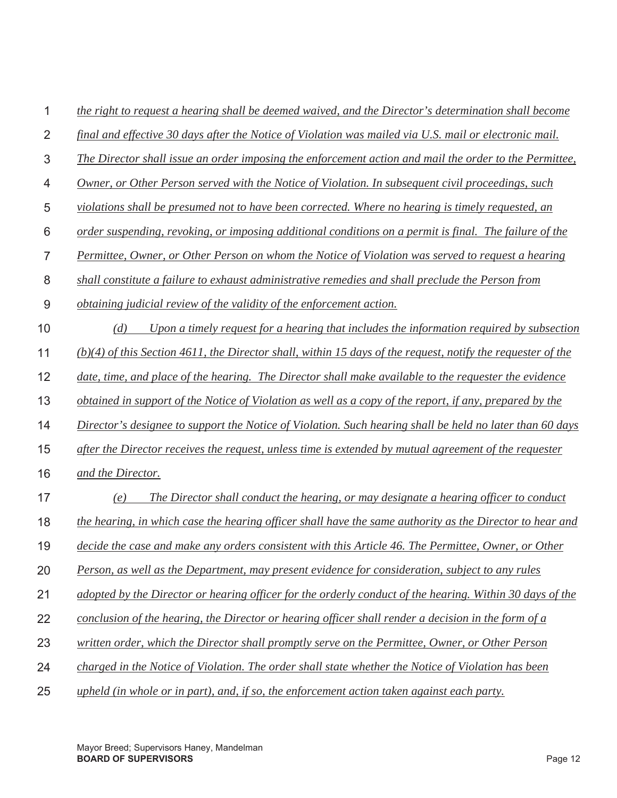| 1              | the right to request a hearing shall be deemed waived, and the Director's determination shall become          |
|----------------|---------------------------------------------------------------------------------------------------------------|
| $\overline{2}$ | final and effective 30 days after the Notice of Violation was mailed via U.S. mail or electronic mail.        |
| 3              | The Director shall issue an order imposing the enforcement action and mail the order to the Permittee,        |
| 4              | Owner, or Other Person served with the Notice of Violation. In subsequent civil proceedings, such             |
| 5              | violations shall be presumed not to have been corrected. Where no hearing is timely requested, an             |
| 6              | order suspending, revoking, or imposing additional conditions on a permit is final. The failure of the        |
| 7              | Permittee, Owner, or Other Person on whom the Notice of Violation was served to request a hearing             |
| 8              | shall constitute a failure to exhaust administrative remedies and shall preclude the Person from              |
| 9              | <i>obtaining judicial review of the validity of the enforcement action.</i>                                   |
| 10             | Upon a timely request for a hearing that includes the information required by subsection<br>(d)               |
| 11             | $(b)(4)$ of this Section 4611, the Director shall, within 15 days of the request, notify the requester of the |
| 12             | date, time, and place of the hearing. The Director shall make available to the requester the evidence         |
| 13             | obtained in support of the Notice of Violation as well as a copy of the report, if any, prepared by the       |
| 14             | Director's designee to support the Notice of Violation. Such hearing shall be held no later than 60 days      |
| 15             | after the Director receives the request, unless time is extended by mutual agreement of the requester         |
| 16             | and the Director.                                                                                             |
| 17             | The Director shall conduct the hearing, or may designate a hearing officer to conduct<br>(e)                  |
| 18             | the hearing, in which case the hearing officer shall have the same authority as the Director to hear and      |
| 19             | decide the case and make any orders consistent with this Article 46. The Permittee, Owner, or Other           |
| 20             | Person, as well as the Department, may present evidence for consideration, subject to any rules               |
| 21             | adopted by the Director or hearing officer for the orderly conduct of the hearing. Within 30 days of the      |
| 22             | conclusion of the hearing, the Director or hearing officer shall render a decision in the form of a           |
| 23             | written order, which the Director shall promptly serve on the Permittee, Owner, or Other Person               |
| 24             | charged in the Notice of Violation. The order shall state whether the Notice of Violation has been            |
| 25             | upheld (in whole or in part), and, if so, the enforcement action taken against each party.                    |
|                |                                                                                                               |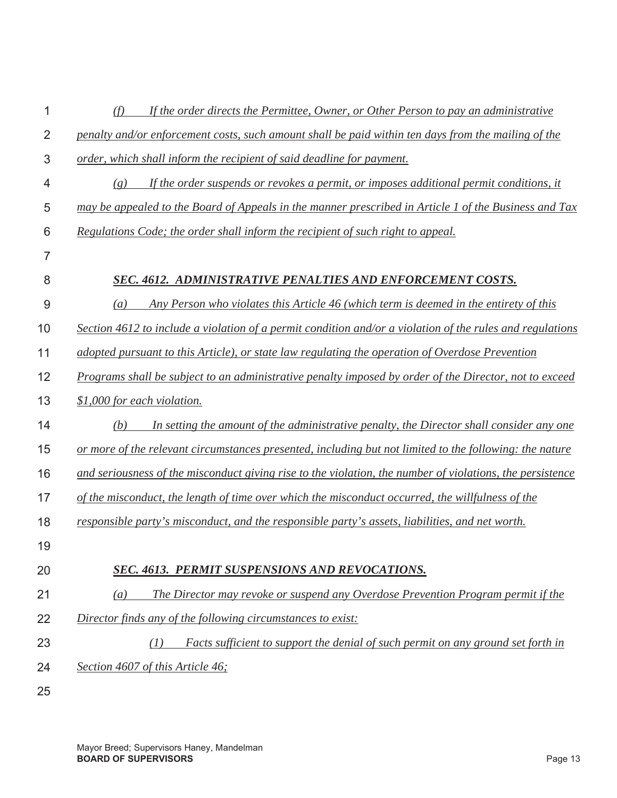| 1              | If the order directs the Permittee, Owner, or Other Person to pay an administrative<br>(f)                |
|----------------|-----------------------------------------------------------------------------------------------------------|
| $\overline{2}$ | penalty and/or enforcement costs, such amount shall be paid within ten days from the mailing of the       |
| 3              | order, which shall inform the recipient of said deadline for payment.                                     |
| 4              | If the order suspends or revokes a permit, or imposes additional permit conditions, it<br>(g)             |
| 5              | may be appealed to the Board of Appeals in the manner prescribed in Article 1 of the Business and Tax     |
| 6              | Regulations Code; the order shall inform the recipient of such right to appeal.                           |
| $\overline{7}$ |                                                                                                           |
| 8              | <b>SEC. 4612. ADMINISTRATIVE PENALTIES AND ENFORCEMENT COSTS.</b>                                         |
| 9              | Any Person who violates this Article 46 (which term is deemed in the entirety of this<br>$\left(a\right)$ |
| 10             | Section 4612 to include a violation of a permit condition and/or a violation of the rules and regulations |
| 11             | adopted pursuant to this Article), or state law regulating the operation of Overdose Prevention           |
| 12             | Programs shall be subject to an administrative penalty imposed by order of the Director, not to exceed    |
| 13             | \$1,000 for each violation.                                                                               |
| 14             | In setting the amount of the administrative penalty, the Director shall consider any one<br>(b)           |
| 15             | or more of the relevant circumstances presented, including but not limited to the following: the nature   |
| 16             | and seriousness of the misconduct giving rise to the violation, the number of violations, the persistence |
| 17             | of the misconduct, the length of time over which the misconduct occurred, the willfulness of the          |
| 18             | responsible party's misconduct, and the responsible party's assets, liabilities, and net worth.           |
| 19             |                                                                                                           |
| 20             | <b>SEC. 4613. PERMIT SUSPENSIONS AND REVOCATIONS.</b>                                                     |
| 21             | The Director may revoke or suspend any Overdose Prevention Program permit if the<br>(a)                   |
| 22             | Director finds any of the following circumstances to exist:                                               |
| 23             | Facts sufficient to support the denial of such permit on any ground set forth in<br>(I)                   |
| 24             | Section 4607 of this Article 46;                                                                          |
| 25             |                                                                                                           |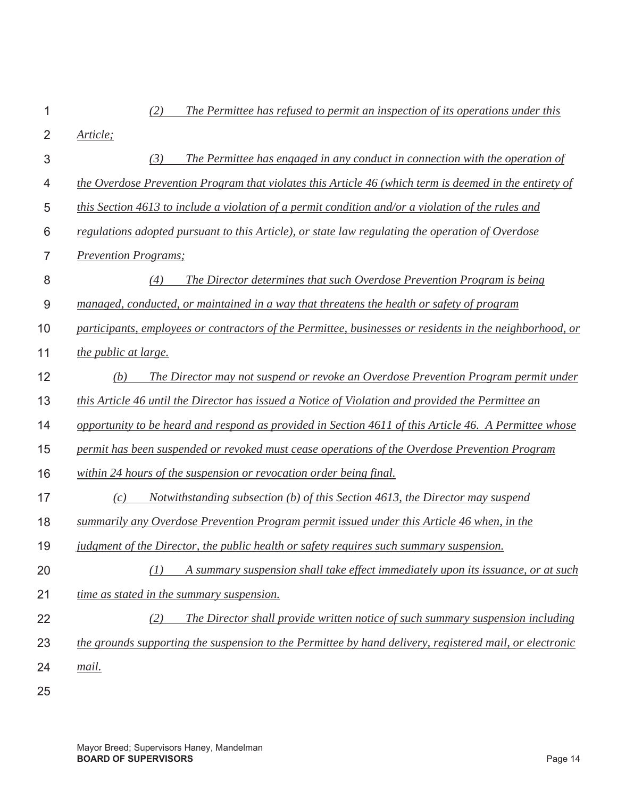| 1              | (2)<br>The Permittee has refused to permit an inspection of its operations under this                    |
|----------------|----------------------------------------------------------------------------------------------------------|
| $\overline{2}$ | Article;                                                                                                 |
| 3              | (3)<br>The Permittee has engaged in any conduct in connection with the operation of                      |
| 4              | the Overdose Prevention Program that violates this Article 46 (which term is deemed in the entirety of   |
| 5              | this Section 4613 to include a violation of a permit condition and/or a violation of the rules and       |
| 6              | regulations adopted pursuant to this Article), or state law regulating the operation of Overdose         |
| 7              | <b>Prevention Programs</b> ;                                                                             |
| 8              | The Director determines that such Overdose Prevention Program is being<br>(4)                            |
| 9              | managed, conducted, or maintained in a way that threatens the health or safety of program                |
| 10             | participants, employees or contractors of the Permittee, businesses or residents in the neighborhood, or |
| 11             | <i>the public at large.</i>                                                                              |
| 12             | (b)<br>The Director may not suspend or revoke an Overdose Prevention Program permit under                |
| 13             | this Article 46 until the Director has issued a Notice of Violation and provided the Permittee an        |
| 14             | opportunity to be heard and respond as provided in Section 4611 of this Article 46. A Permittee whose    |
| 15             | permit has been suspended or revoked must cease operations of the Overdose Prevention Program            |
| 16             | within 24 hours of the suspension or revocation order being final.                                       |
| 17             | Notwithstanding subsection $(b)$ of this Section 4613, the Director may suspend<br>(c)                   |
| 18             | summarily any Overdose Prevention Program permit issued under this Article 46 when, in the               |
| 19             | judgment of the Director, the public health or safety requires such summary suspension.                  |
| 20             | A summary suspension shall take effect immediately upon its issuance, or at such<br>(1)                  |
| 21             | time as stated in the summary suspension.                                                                |
| 22             | (2)<br>The Director shall provide written notice of such summary suspension including                    |
| 23             | the grounds supporting the suspension to the Permittee by hand delivery, registered mail, or electronic  |
| 24             | mail.                                                                                                    |
| 25             |                                                                                                          |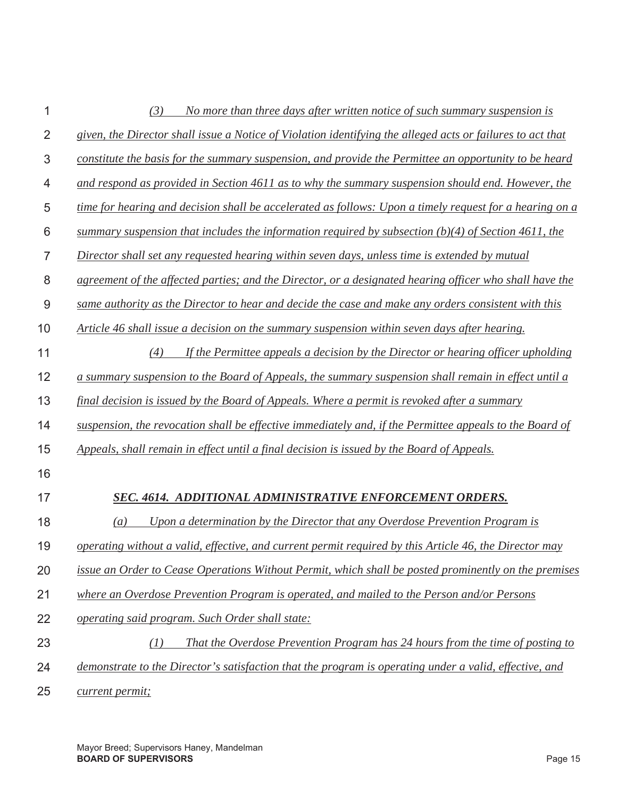|                | No more than three days after written notice of such summary suspension is<br>(3)                          |
|----------------|------------------------------------------------------------------------------------------------------------|
| $\overline{2}$ | given, the Director shall issue a Notice of Violation identifying the alleged acts or failures to act that |
| 3              | constitute the basis for the summary suspension, and provide the Permittee an opportunity to be heard      |
| 4              | and respond as provided in Section 4611 as to why the summary suspension should end. However, the          |
| 5              | time for hearing and decision shall be accelerated as follows: Upon a timely request for a hearing on a    |
| 6              | summary suspension that includes the information required by subsection $(b)(4)$ of Section 4611, the      |
| 7              | Director shall set any requested hearing within seven days, unless time is extended by mutual              |
| 8              | agreement of the affected parties; and the Director, or a designated hearing officer who shall have the    |
| 9              | same authority as the Director to hear and decide the case and make any orders consistent with this        |
| 10             | Article 46 shall issue a decision on the summary suspension within seven days after hearing.               |
| 11             | If the Permittee appeals a decision by the Director or hearing officer upholding<br>(4)                    |
| 12             | a summary suspension to the Board of Appeals, the summary suspension shall remain in effect until a        |
| 13             | final decision is issued by the Board of Appeals. Where a permit is revoked after a summary                |
| 14             | suspension, the revocation shall be effective immediately and, if the Permittee appeals to the Board of    |
| 15             | Appeals, shall remain in effect until a final decision is issued by the Board of Appeals.                  |
| 16             |                                                                                                            |
| 17             | SEC. 4614. ADDITIONAL ADMINISTRATIVE ENFORCEMENT ORDERS.                                                   |
| 18             | Upon a determination by the Director that any Overdose Prevention Program is<br>$\left( a\right)$          |
| 19             | operating without a valid, effective, and current permit required by this Article 46, the Director may     |
| 20             | issue an Order to Cease Operations Without Permit, which shall be posted prominently on the premises       |
| 21             | where an Overdose Prevention Program is operated, and mailed to the Person and/or Persons                  |
| 22             | operating said program. Such Order shall state:                                                            |
| 23             | That the Overdose Prevention Program has 24 hours from the time of posting to<br>(1)                       |
| 24             | demonstrate to the Director's satisfaction that the program is operating under a valid, effective, and     |
| 25             | current permit;                                                                                            |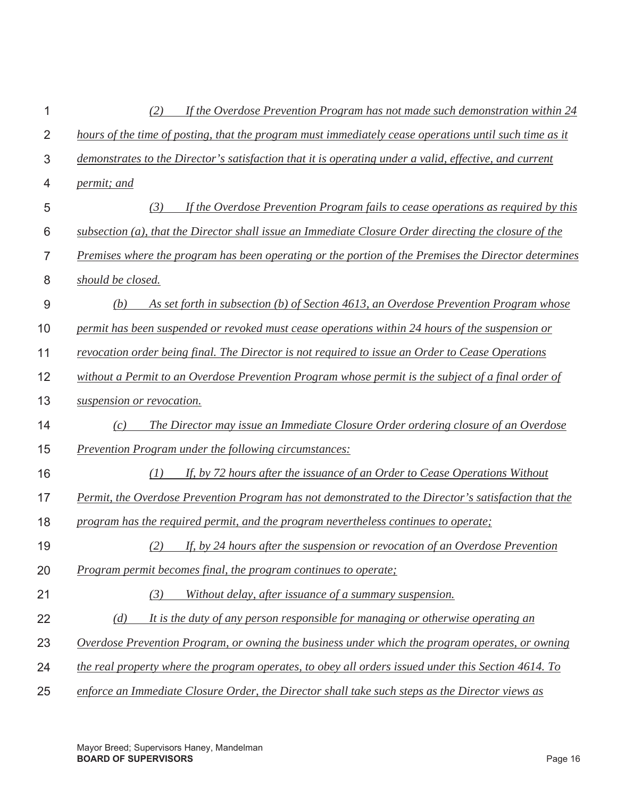| 1              | If the Overdose Prevention Program has not made such demonstration within 24<br>(2)                      |
|----------------|----------------------------------------------------------------------------------------------------------|
| $\overline{2}$ | hours of the time of posting, that the program must immediately cease operations until such time as it   |
| $\mathfrak 3$  | demonstrates to the Director's satisfaction that it is operating under a valid, effective, and current   |
| 4              | <i>permit; and</i>                                                                                       |
| 5              | If the Overdose Prevention Program fails to cease operations as required by this<br>(3)                  |
| 6              | $subsection (a)$ , that the Director shall issue an Immediate Closure Order directing the closure of the |
| $\overline{7}$ | Premises where the program has been operating or the portion of the Premises the Director determines     |
| 8              | should be closed.                                                                                        |
| $\overline{9}$ | As set forth in subsection (b) of Section 4613, an Overdose Prevention Program whose<br>(b)              |
| 10             | permit has been suspended or revoked must cease operations within 24 hours of the suspension or          |
| 11             | revocation order being final. The Director is not required to issue an Order to Cease Operations         |
| 12             | without a Permit to an Overdose Prevention Program whose permit is the subject of a final order of       |
| 13             | suspension or revocation.                                                                                |
| 14             | The Director may issue an Immediate Closure Order ordering closure of an Overdose<br>(c)                 |
| 15             | <b>Prevention Program under the following circumstances:</b>                                             |
| 16             | If, by 72 hours after the issuance of an Order to Cease Operations Without<br>(1)                        |
| 17             | Permit, the Overdose Prevention Program has not demonstrated to the Director's satisfaction that the     |
| 18             | program has the required permit, and the program nevertheless continues to operate;                      |
| 19             | If, by 24 hours after the suspension or revocation of an Overdose Prevention<br>(2)                      |
| 20             | Program permit becomes final, the program continues to operate;                                          |
| 21             | (3)<br>Without delay, after issuance of a summary suspension.                                            |
| 22             | It is the duty of any person responsible for managing or otherwise operating an<br>(d)                   |
| 23             | Overdose Prevention Program, or owning the business under which the program operates, or owning          |
| 24             | the real property where the program operates, to obey all orders issued under this Section 4614. To      |
| 25             | enforce an Immediate Closure Order, the Director shall take such steps as the Director views as          |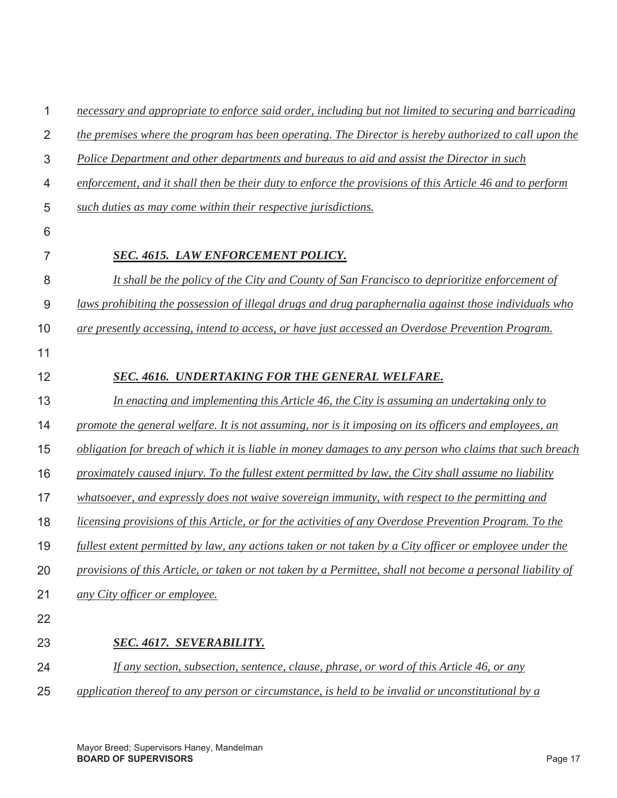| 1              | necessary and appropriate to enforce said order, including but not limited to securing and barricading     |
|----------------|------------------------------------------------------------------------------------------------------------|
| $\overline{2}$ | the premises where the program has been operating. The Director is hereby authorized to call upon the      |
| 3              | Police Department and other departments and bureaus to aid and assist the Director in such                 |
| 4              | enforcement, and it shall then be their duty to enforce the provisions of this Article 46 and to perform   |
| 5              | such duties as may come within their respective jurisdictions.                                             |
| 6              |                                                                                                            |
| 7              | SEC. 4615. LAW ENFORCEMENT POLICY.                                                                         |
| 8              | It shall be the policy of the City and County of San Francisco to deprioritize enforcement of              |
| 9              | laws prohibiting the possession of illegal drugs and drug paraphernalia against those individuals who      |
| 10             | are presently accessing, intend to access, or have just accessed an Overdose Prevention Program.           |
| 11             |                                                                                                            |
| 12             | SEC. 4616. UNDERTAKING FOR THE GENERAL WELFARE.                                                            |
| 13             | In enacting and implementing this Article 46, the City is assuming an undertaking only to                  |
| 14             | promote the general welfare. It is not assuming, nor is it imposing on its officers and employees, an      |
| 15             | obligation for breach of which it is liable in money damages to any person who claims that such breach     |
| 16             | proximately caused injury. To the fullest extent permitted by law, the City shall assume no liability      |
| 17             | whatsoever, and expressly does not waive sovereign immunity, with respect to the permitting and            |
| 18             | licensing provisions of this Article, or for the activities of any Overdose Prevention Program. To the     |
| 19             | fullest extent permitted by law, any actions taken or not taken by a City officer or employee under the    |
| 20             | provisions of this Article, or taken or not taken by a Permittee, shall not become a personal liability of |
| 21             | any City officer or employee.                                                                              |
| 22             |                                                                                                            |
| 23             | <b>SEC. 4617. SEVERABILITY.</b>                                                                            |
| 24             | <u>If any section, subsection, sentence, clause, phrase, or word of this Article 46, or any</u>            |
| 25             | application thereof to any person or circumstance, is held to be invalid or unconstitutional by $\alpha$   |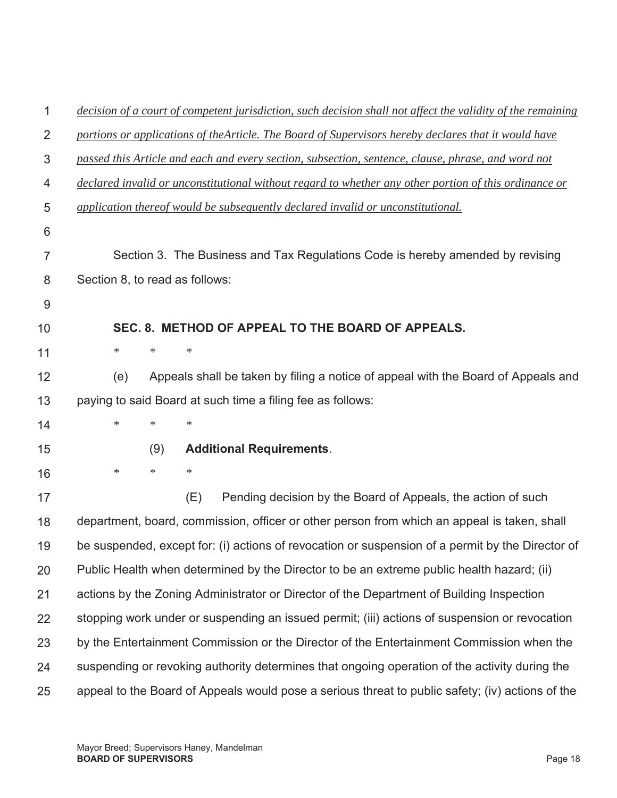| 1              | decision of a court of competent jurisdiction, such decision shall not affect the validity of the remaining |
|----------------|-------------------------------------------------------------------------------------------------------------|
| $\overline{2}$ | portions or applications of the Article. The Board of Supervisors hereby declares that it would have        |
| 3              | passed this Article and each and every section, subsection, sentence, clause, phrase, and word not          |
| 4              | declared invalid or unconstitutional without regard to whether any other portion of this ordinance or       |
| 5              | application thereof would be subsequently declared invalid or unconstitutional.                             |
| 6              |                                                                                                             |
| $\overline{7}$ | Section 3. The Business and Tax Regulations Code is hereby amended by revising                              |
| 8              | Section 8, to read as follows:                                                                              |
| 9              |                                                                                                             |
| 10             | SEC. 8. METHOD OF APPEAL TO THE BOARD OF APPEALS.                                                           |
| 11             | $\ast$<br>$\ast$<br>$\ast$                                                                                  |
| 12             | Appeals shall be taken by filing a notice of appeal with the Board of Appeals and<br>(e)                    |
| 13             | paying to said Board at such time a filing fee as follows:                                                  |
| 14             | $\ast$<br>$\ast$<br>∗                                                                                       |
| 15             | <b>Additional Requirements.</b><br>(9)                                                                      |
| 16             | $\ast$<br>$\ast$<br>$\ast$                                                                                  |
| 17             | (E)<br>Pending decision by the Board of Appeals, the action of such                                         |
| 18             | department, board, commission, officer or other person from which an appeal is taken, shall                 |
| 19             | be suspended, except for: (i) actions of revocation or suspension of a permit by the Director of            |
| 20             | Public Health when determined by the Director to be an extreme public health hazard; (ii)                   |
| 21             | actions by the Zoning Administrator or Director of the Department of Building Inspection                    |
| 22             | stopping work under or suspending an issued permit; (iii) actions of suspension or revocation               |
| 23             | by the Entertainment Commission or the Director of the Entertainment Commission when the                    |
| 24             | suspending or revoking authority determines that ongoing operation of the activity during the               |
| 25             | appeal to the Board of Appeals would pose a serious threat to public safety; (iv) actions of the            |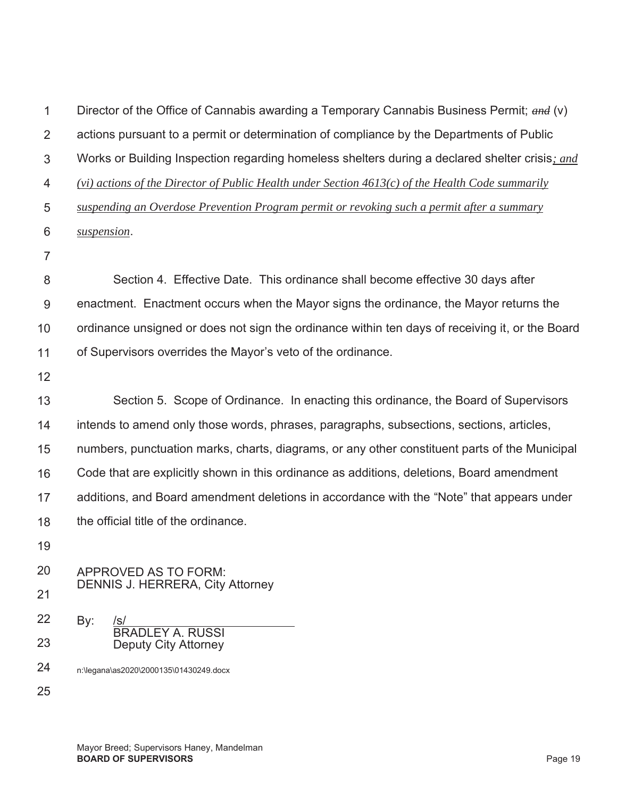| 1              | Director of the Office of Cannabis awarding a Temporary Cannabis Business Permit; $\alpha n d$ (v) |
|----------------|----------------------------------------------------------------------------------------------------|
| $\overline{2}$ | actions pursuant to a permit or determination of compliance by the Departments of Public           |
| 3              | Works or Building Inspection regarding homeless shelters during a declared shelter crisis; and     |
| $\overline{4}$ | (vi) actions of the Director of Public Health under Section $4613(c)$ of the Health Code summarily |
| 5              | suspending an Overdose Prevention Program permit or revoking such a permit after a summary         |
| 6              | suspension.                                                                                        |
| $\overline{7}$ |                                                                                                    |
| 8              | Section 4. Effective Date. This ordinance shall become effective 30 days after                     |
| 9              | enactment. Enactment occurs when the Mayor signs the ordinance, the Mayor returns the              |
| 10             | ordinance unsigned or does not sign the ordinance within ten days of receiving it, or the Board    |
| 11             | of Supervisors overrides the Mayor's veto of the ordinance.                                        |
| 12             |                                                                                                    |
| 13             | Section 5. Scope of Ordinance. In enacting this ordinance, the Board of Supervisors                |
| 14             | intends to amend only those words, phrases, paragraphs, subsections, sections, articles,           |
| 15             | numbers, punctuation marks, charts, diagrams, or any other constituent parts of the Municipal      |
| 16             | Code that are explicitly shown in this ordinance as additions, deletions, Board amendment          |
| 17             | additions, and Board amendment deletions in accordance with the "Note" that appears under          |
| 18             | the official title of the ordinance.                                                               |
| 19             |                                                                                                    |
| 20             | APPROVED AS TO FORM:                                                                               |
| 21             | <b>DENNIS J. HERRERA, City Attorney</b>                                                            |
| 22             | By:<br>/s/<br><b>BRADLEY A. RUSSI</b>                                                              |
| 23             | <b>Deputy City Attorney</b>                                                                        |
| 24             | n:\legana\as2020\2000135\01430249.docx                                                             |
| 25             |                                                                                                    |